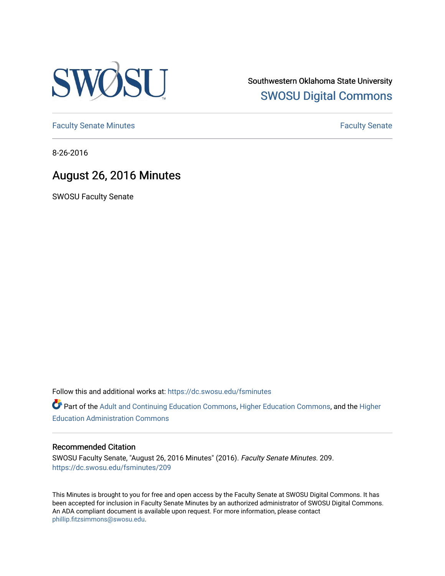

Southwestern Oklahoma State University [SWOSU Digital Commons](https://dc.swosu.edu/) 

[Faculty Senate Minutes](https://dc.swosu.edu/fsminutes) **Faculty** Senate Minutes

8-26-2016

## August 26, 2016 Minutes

SWOSU Faculty Senate

Follow this and additional works at: [https://dc.swosu.edu/fsminutes](https://dc.swosu.edu/fsminutes?utm_source=dc.swosu.edu%2Ffsminutes%2F209&utm_medium=PDF&utm_campaign=PDFCoverPages) 

Part of the [Adult and Continuing Education Commons,](http://network.bepress.com/hgg/discipline/1375?utm_source=dc.swosu.edu%2Ffsminutes%2F209&utm_medium=PDF&utm_campaign=PDFCoverPages) [Higher Education Commons,](http://network.bepress.com/hgg/discipline/1245?utm_source=dc.swosu.edu%2Ffsminutes%2F209&utm_medium=PDF&utm_campaign=PDFCoverPages) and the [Higher](http://network.bepress.com/hgg/discipline/791?utm_source=dc.swosu.edu%2Ffsminutes%2F209&utm_medium=PDF&utm_campaign=PDFCoverPages) [Education Administration Commons](http://network.bepress.com/hgg/discipline/791?utm_source=dc.swosu.edu%2Ffsminutes%2F209&utm_medium=PDF&utm_campaign=PDFCoverPages) 

#### Recommended Citation

SWOSU Faculty Senate, "August 26, 2016 Minutes" (2016). Faculty Senate Minutes. 209. [https://dc.swosu.edu/fsminutes/209](https://dc.swosu.edu/fsminutes/209?utm_source=dc.swosu.edu%2Ffsminutes%2F209&utm_medium=PDF&utm_campaign=PDFCoverPages) 

This Minutes is brought to you for free and open access by the Faculty Senate at SWOSU Digital Commons. It has been accepted for inclusion in Faculty Senate Minutes by an authorized administrator of SWOSU Digital Commons. An ADA compliant document is available upon request. For more information, please contact [phillip.fitzsimmons@swosu.edu](mailto:phillip.fitzsimmons@swosu.edu).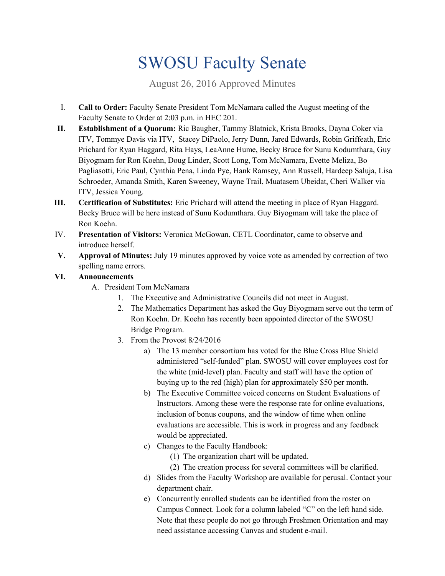# SWOSU Faculty Senate

August 26, 2016 Approved Minutes

- I. **Call to Order:** Faculty Senate President Tom McNamara called the August meeting of the Faculty Senate to Order at 2:03 p.m. in HEC 201.
- **II. Establishment of a Quorum:** Ric Baugher, Tammy Blatnick, Krista Brooks, Dayna Coker via ITV, Tommye Davis via ITV, Stacey DiPaolo, Jerry Dunn, Jared Edwards, Robin Griffeath, Eric Prichard for Ryan Haggard, Rita Hays, LeaAnne Hume, Becky Bruce for Sunu Kodumthara, Guy Biyogmam for Ron Koehn, Doug Linder, Scott Long, Tom McNamara, Evette Meliza, Bo Pagliasotti, Eric Paul, Cynthia Pena, Linda Pye, Hank Ramsey, Ann Russell, Hardeep Saluja, Lisa Schroeder, Amanda Smith, Karen Sweeney, Wayne Trail, Muatasem Ubeidat, Cheri Walker via ITV, Jessica Young.
- **III. Certification of Substitutes:** Eric Prichard will attend the meeting in place of Ryan Haggard. Becky Bruce will be here instead of Sunu Kodumthara. Guy Biyogmam will take the place of Ron Koehn.
- IV. **Presentation of Visitors:** Veronica McGowan, CETL Coordinator, came to observe and introduce herself.
- **V. Approval of Minutes:** July 19 minutes approved by voice vote as amended by correction of two spelling name errors.

### **VI. Announcements**

- A. President Tom McNamara
	- 1. The Executive and Administrative Councils did not meet in August.
	- 2. The Mathematics Department has asked the Guy Biyogmam serve out the term of Ron Koehn. Dr. Koehn has recently been appointed director of the SWOSU Bridge Program.
	- 3. From the Provost 8/24/2016
		- a) The 13 member consortium has voted for the Blue Cross Blue Shield administered "self-funded" plan. SWOSU will cover employees cost for the white (mid-level) plan. Faculty and staff will have the option of buying up to the red (high) plan for approximately \$50 per month.
		- b) The Executive Committee voiced concerns on Student Evaluations of Instructors. Among these were the response rate for online evaluations, inclusion of bonus coupons, and the window of time when online evaluations are accessible. This is work in progress and any feedback would be appreciated.
		- c) Changes to the Faculty Handbook:
			- (1) The organization chart will be updated.
			- (2) The creation process for several committees will be clarified.
		- d) Slides from the Faculty Workshop are available for perusal. Contact your department chair.
		- e) Concurrently enrolled students can be identified from the roster on Campus Connect. Look for a column labeled "C" on the left hand side. Note that these people do not go through Freshmen Orientation and may need assistance accessing Canvas and student e-mail.